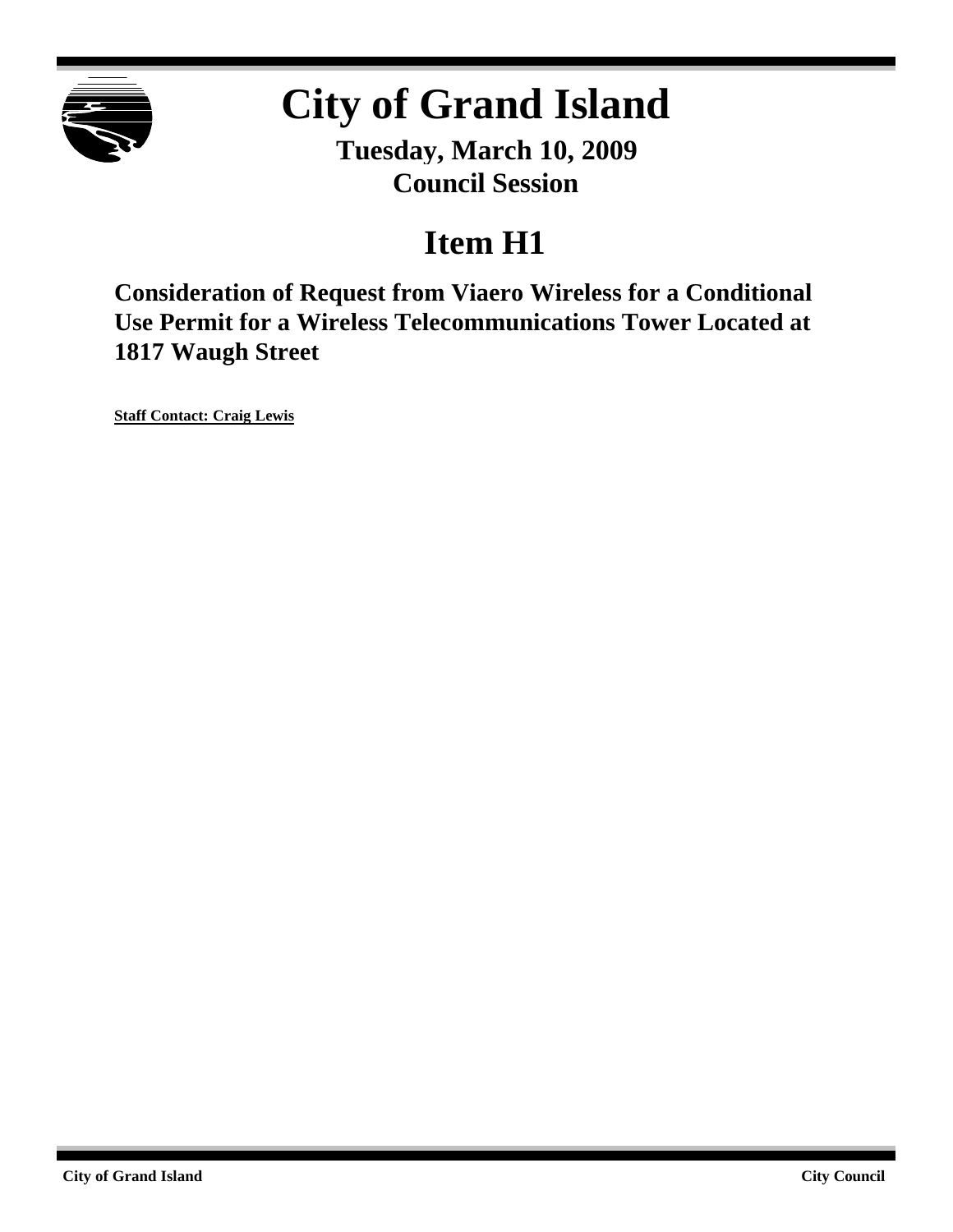

# **City of Grand Island**

**Tuesday, March 10, 2009 Council Session**

# **Item H1**

**Consideration of Request from Viaero Wireless for a Conditional Use Permit for a Wireless Telecommunications Tower Located at 1817 Waugh Street**

**Staff Contact: Craig Lewis**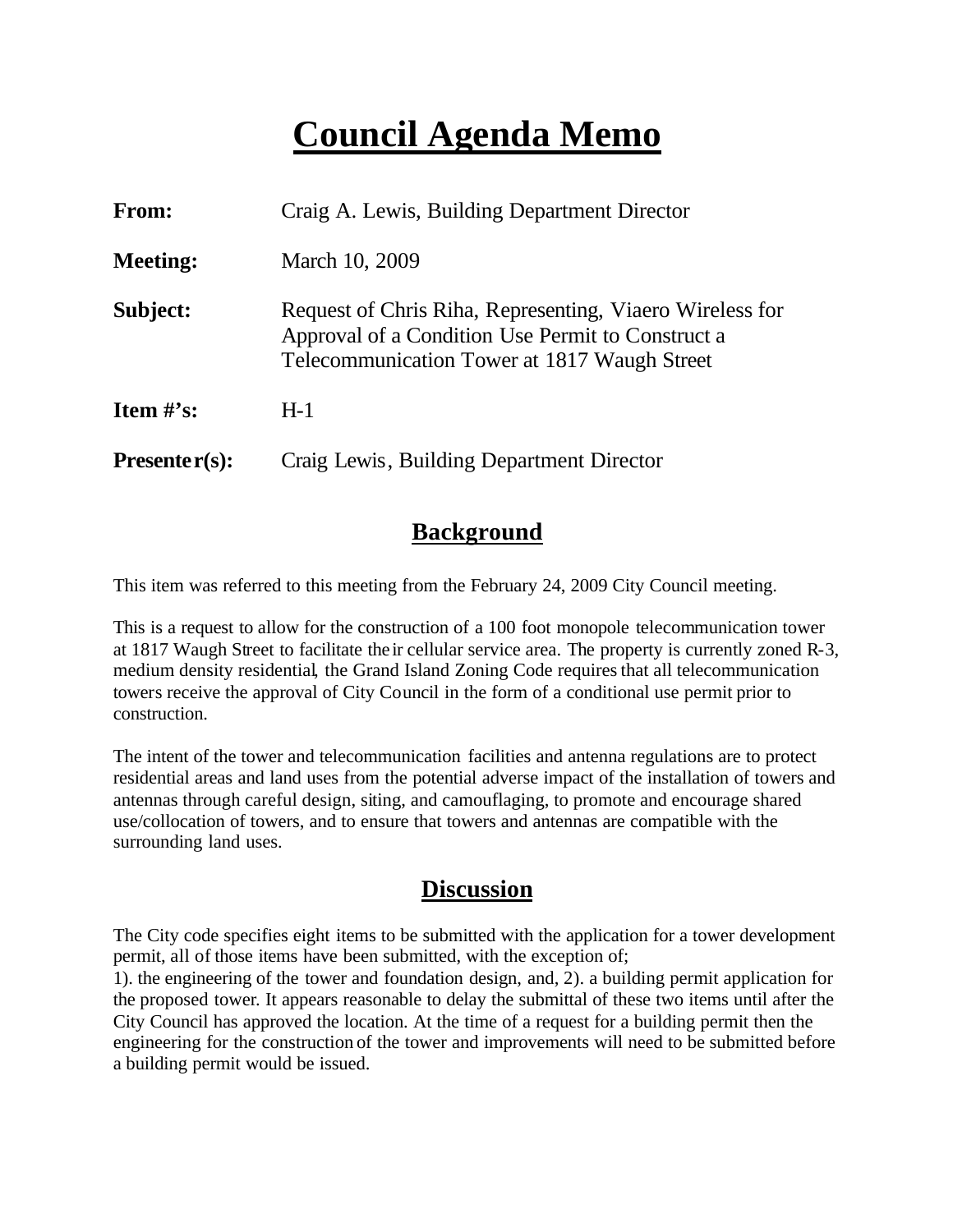# **Council Agenda Memo**

| From:                          | Craig A. Lewis, Building Department Director                                                                                                                  |  |
|--------------------------------|---------------------------------------------------------------------------------------------------------------------------------------------------------------|--|
| <b>Meeting:</b>                | March 10, 2009                                                                                                                                                |  |
| Subject:                       | Request of Chris Riha, Representing, Viaero Wireless for<br>Approval of a Condition Use Permit to Construct a<br>Telecommunication Tower at 1817 Waugh Street |  |
| <b>Item <math>\#</math>'s:</b> | $H-1$                                                                                                                                                         |  |
| $Presenter(s):$                | Craig Lewis, Building Department Director                                                                                                                     |  |

#### **Background**

This item was referred to this meeting from the February 24, 2009 City Council meeting.

This is a request to allow for the construction of a 100 foot monopole telecommunication tower at 1817 Waugh Street to facilitate the ir cellular service area. The property is currently zoned R-3, medium density residential, the Grand Island Zoning Code requires that all telecommunication towers receive the approval of City Council in the form of a conditional use permit prior to construction.

The intent of the tower and telecommunication facilities and antenna regulations are to protect residential areas and land uses from the potential adverse impact of the installation of towers and antennas through careful design, siting, and camouflaging, to promote and encourage shared use/collocation of towers, and to ensure that towers and antennas are compatible with the surrounding land uses.

#### **Discussion**

The City code specifies eight items to be submitted with the application for a tower development permit, all of those items have been submitted, with the exception of;

1). the engineering of the tower and foundation design, and, 2). a building permit application for the proposed tower. It appears reasonable to delay the submittal of these two items until after the City Council has approved the location. At the time of a request for a building permit then the engineering for the construction of the tower and improvements will need to be submitted before a building permit would be issued.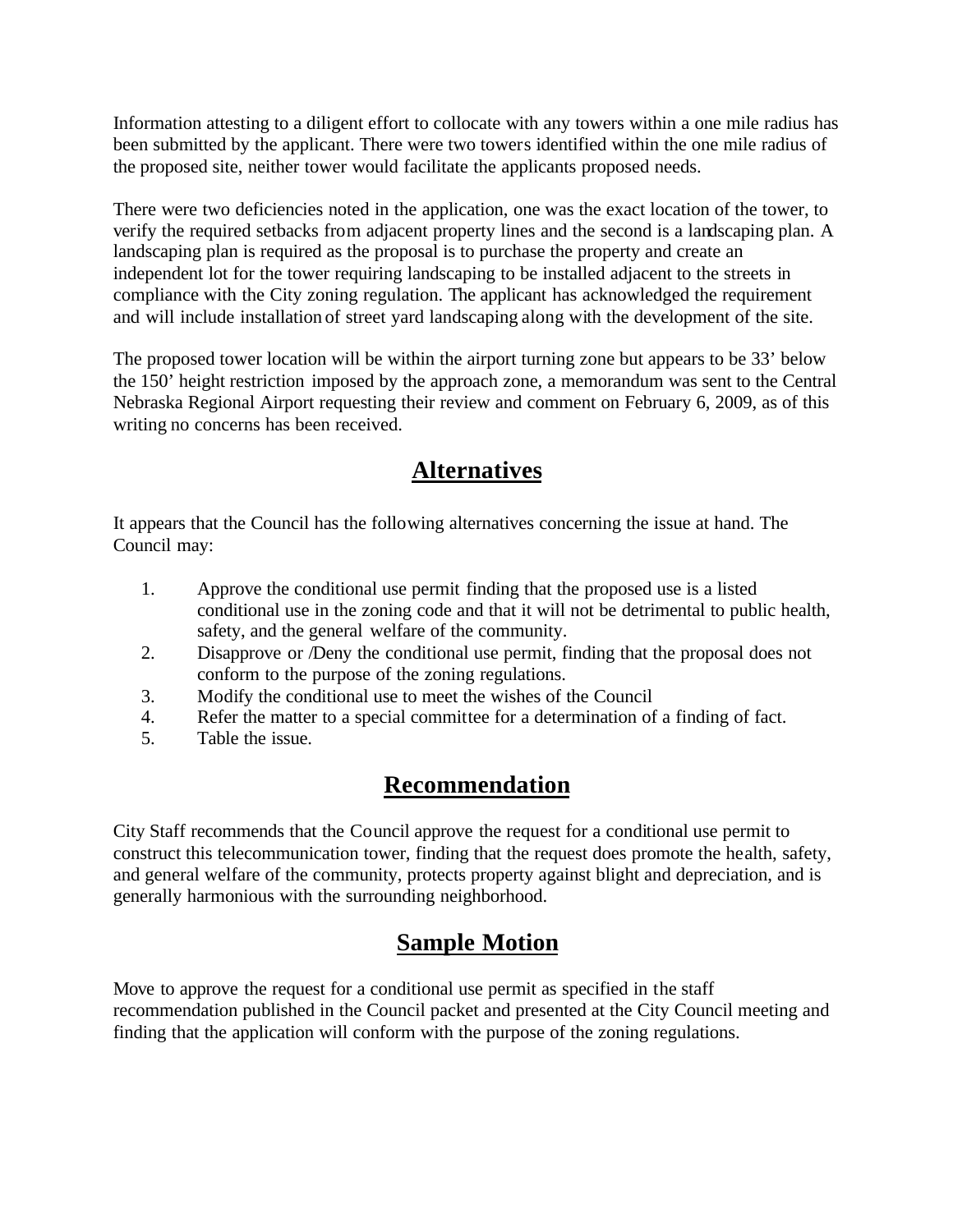Information attesting to a diligent effort to collocate with any towers within a one mile radius has been submitted by the applicant. There were two towers identified within the one mile radius of the proposed site, neither tower would facilitate the applicants proposed needs.

There were two deficiencies noted in the application, one was the exact location of the tower, to verify the required setbacks from adjacent property lines and the second is a landscaping plan. A landscaping plan is required as the proposal is to purchase the property and create an independent lot for the tower requiring landscaping to be installed adjacent to the streets in compliance with the City zoning regulation. The applicant has acknowledged the requirement and will include installation of street yard landscaping along with the development of the site.

The proposed tower location will be within the airport turning zone but appears to be 33' below the 150' height restriction imposed by the approach zone, a memorandum was sent to the Central Nebraska Regional Airport requesting their review and comment on February 6, 2009, as of this writing no concerns has been received.

### **Alternatives**

It appears that the Council has the following alternatives concerning the issue at hand. The Council may:

- 1. Approve the conditional use permit finding that the proposed use is a listed conditional use in the zoning code and that it will not be detrimental to public health, safety, and the general welfare of the community.
- 2. Disapprove or /Deny the conditional use permit, finding that the proposal does not conform to the purpose of the zoning regulations.
- 3. Modify the conditional use to meet the wishes of the Council
- 4. Refer the matter to a special committee for a determination of a finding of fact.
- 5. Table the issue.

### **Recommendation**

City Staff recommends that the Council approve the request for a conditional use permit to construct this telecommunication tower, finding that the request does promote the health, safety, and general welfare of the community, protects property against blight and depreciation, and is generally harmonious with the surrounding neighborhood.

## **Sample Motion**

Move to approve the request for a conditional use permit as specified in the staff recommendation published in the Council packet and presented at the City Council meeting and finding that the application will conform with the purpose of the zoning regulations.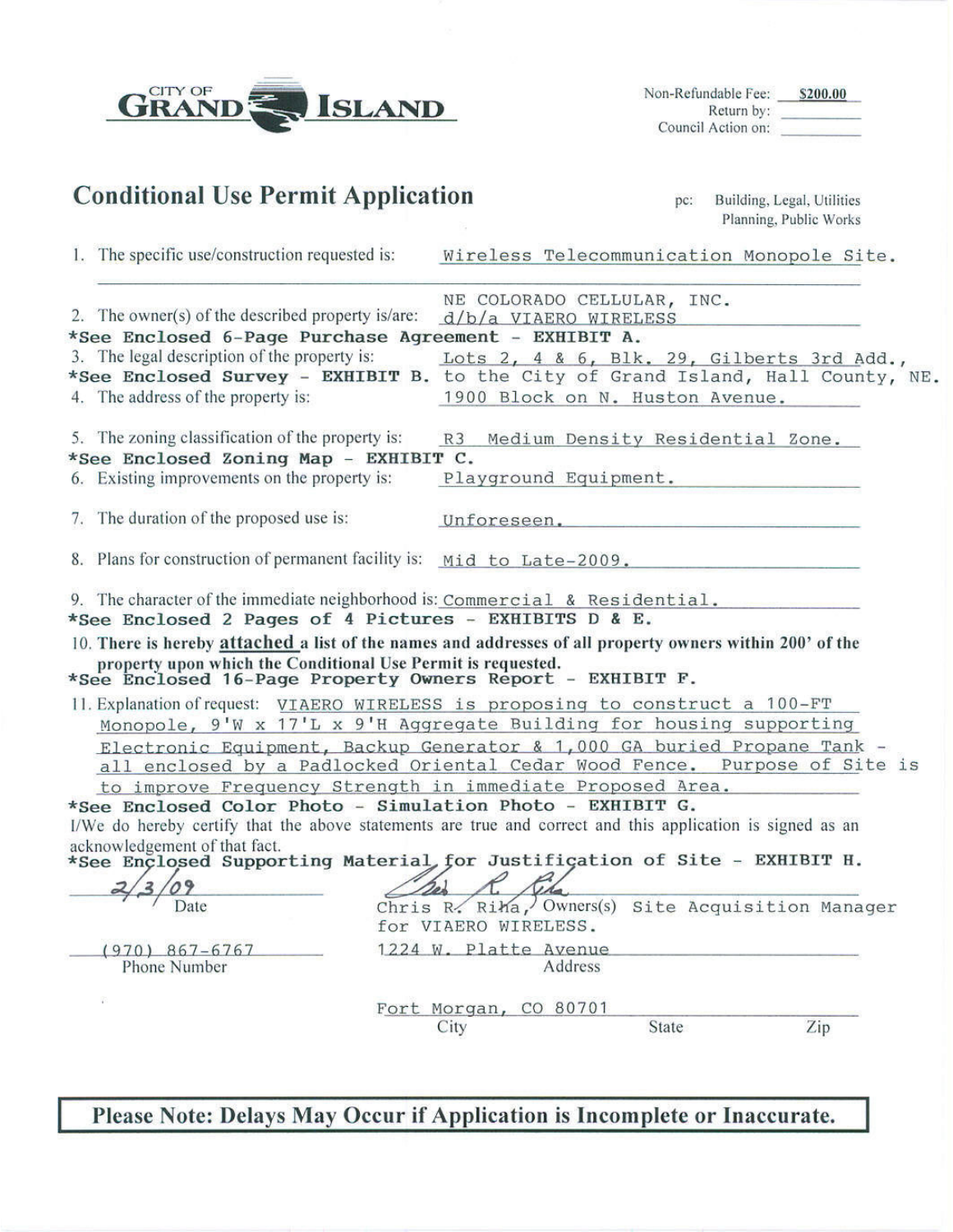| CITY OF<br><b>ISLAND</b>                                                                                                                                                                                                                                                                                                                                                                                                                                                                                                                               |                                                                                          | Non-Refundable Fee: \$200.00<br>Return by:<br>Council Action on: |
|--------------------------------------------------------------------------------------------------------------------------------------------------------------------------------------------------------------------------------------------------------------------------------------------------------------------------------------------------------------------------------------------------------------------------------------------------------------------------------------------------------------------------------------------------------|------------------------------------------------------------------------------------------|------------------------------------------------------------------|
| <b>Conditional Use Permit Application</b>                                                                                                                                                                                                                                                                                                                                                                                                                                                                                                              |                                                                                          | Building, Legal, Utilities<br>pc:<br>Planning, Public Works      |
| 1. The specific use/construction requested is:                                                                                                                                                                                                                                                                                                                                                                                                                                                                                                         |                                                                                          | Wireless Telecommunication Monopole Site.                        |
| 2. The owner(s) of the described property is/are:<br>*See Enclosed 6-Page Purchase Agreement - EXHIBIT A.<br>3. The legal description of the property is:<br>*See Enclosed Survey - EXHIBIT B. to the City of Grand Island, Hall County, NE.<br>4. The address of the property is:                                                                                                                                                                                                                                                                     | NE COLORADO CELLULAR, INC.<br>$d/b/a$ VIAERO WIRELESS<br>1900 Block on N. Huston Avenue. | Lots 2, 4 & 6, Blk. 29, Gilberts 3rd Add.,                       |
| 5. The zoning classification of the property is:<br>*See Enclosed Zoning Map - EXHIBIT C.<br>6. Existing improvements on the property is:                                                                                                                                                                                                                                                                                                                                                                                                              | R3                                                                                       | Medium Density Residential Zone.<br>Playground Equipment.        |
| 7. The duration of the proposed use is:                                                                                                                                                                                                                                                                                                                                                                                                                                                                                                                |                                                                                          | Unforeseen.                                                      |
| 8. Plans for construction of permanent facility is: Mid to Late-2009.                                                                                                                                                                                                                                                                                                                                                                                                                                                                                  |                                                                                          |                                                                  |
| 9. The character of the immediate neighborhood is: Commercial & Residential.<br>*See Enclosed 2 Pages of 4 Pictures - EXHIBITS D & E.<br>10. There is hereby attached a list of the names and addresses of all property owners within 200' of the<br>property upon which the Conditional Use Permit is requested.<br>*See Enclosed 16-Page Property Owners Report - EXHIBIT F.                                                                                                                                                                         |                                                                                          |                                                                  |
| 11. Explanation of request: VIAERO WIRELESS is proposing to construct a 100-FT<br>Monopole, 9'W x 17'L x 9'H Aggregate Building for housing supporting<br>Electronic Equipment, Backup Generator & 1,000 GA buried Propane Tank -<br>all enclosed by a Padlocked Oriental Cedar Wood Fence. Purpose of Site is<br>to improve Frequency Strength in immediate Proposed Area.<br>*See Enclosed Color Photo - Simulation Photo - EXHIBIT G.<br>I/We do hereby certify that the above statements are true and correct and this application is signed as an |                                                                                          |                                                                  |
| acknowledgement of that fact.<br>*See Enclosed Supporting Material for Justification of Site - EXHIBIT H.                                                                                                                                                                                                                                                                                                                                                                                                                                              |                                                                                          |                                                                  |
| Date                                                                                                                                                                                                                                                                                                                                                                                                                                                                                                                                                   | Chris R. Riha, Owners(s)<br>for VIAERO WIRELESS.                                         | Site Acquisition Manager                                         |
| $(970)$ 867-6767<br>Phone Number                                                                                                                                                                                                                                                                                                                                                                                                                                                                                                                       | 1224 W. Platte Avenue<br>Address                                                         |                                                                  |
|                                                                                                                                                                                                                                                                                                                                                                                                                                                                                                                                                        | Fort Morgan, CO 80701<br>City                                                            | Zip<br>State                                                     |

Please Note: Delays May Occur if Application is Incomplete or Inaccurate.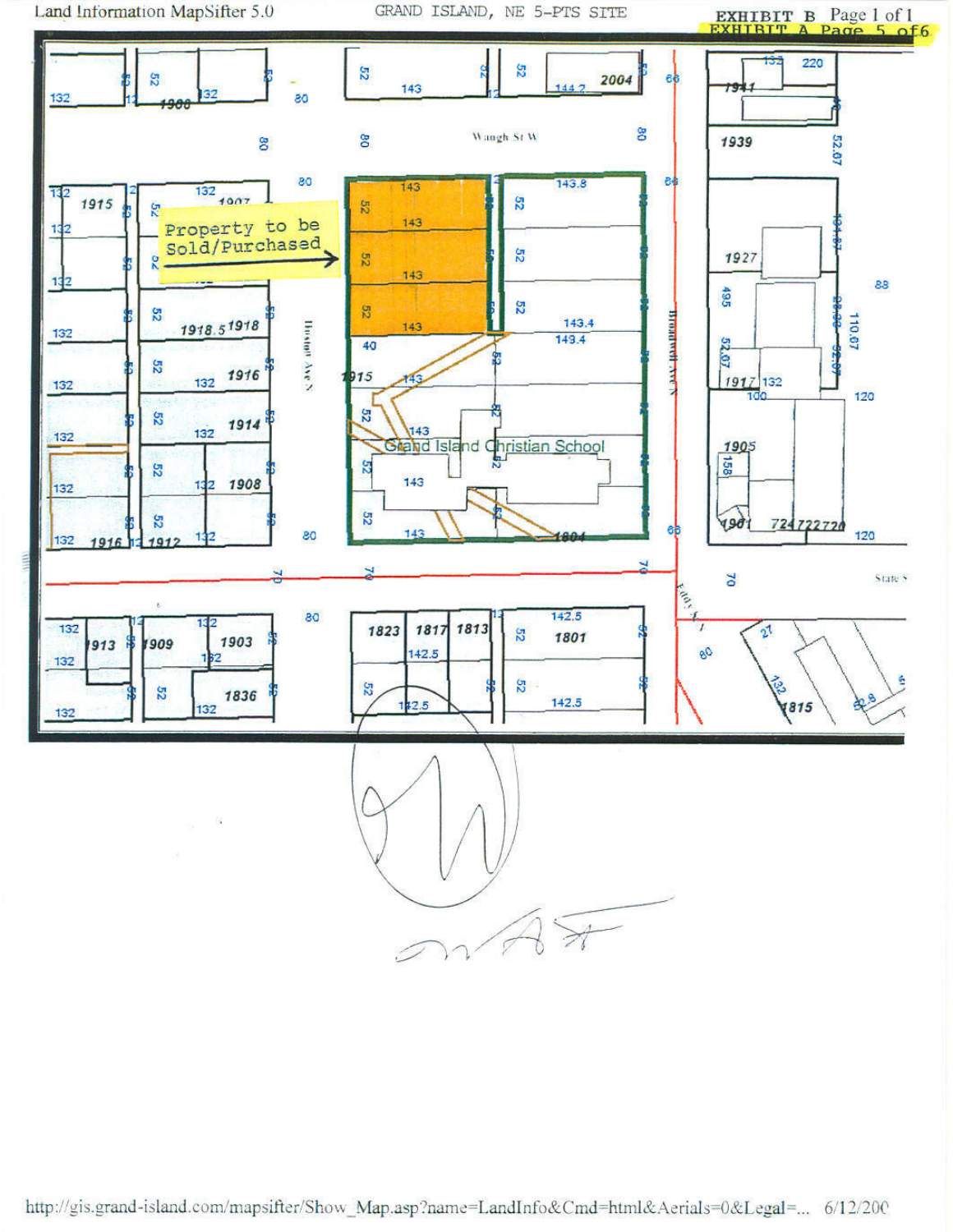Land Information MapSifter 5.0

GRAND ISLAND, NE 5-PTS SITE

**EXHIBIT B** Page 1 of 1